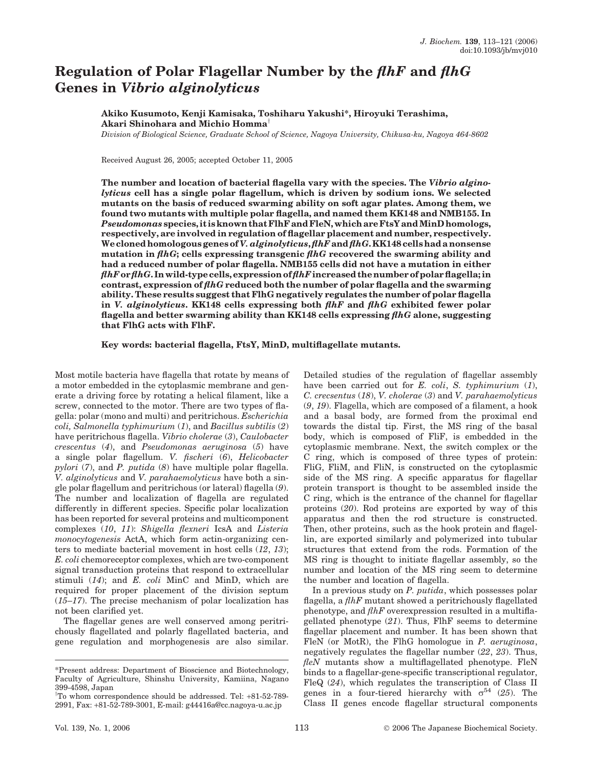# Regulation of Polar Flagellar Number by the flhF and flhG Genes in Vibrio alginolyticus

# Akiko Kusumoto, Kenji Kamisaka, Toshiharu Yakushi\*, Hiroyuki Terashima, Akari Shinohara and Michio Homma<sup>†</sup>

Division of Biological Science, Graduate School of Science, Nagoya University, Chikusa-ku, Nagoya 464-8602

Received August 26, 2005; accepted October 11, 2005

The number and location of bacterial flagella vary with the species. The Vibrio alginolyticus cell has a single polar flagellum, which is driven by sodium ions. We selected mutants on the basis of reduced swarming ability on soft agar plates. Among them, we found two mutants with multiple polar flagella, and named them KK148 and NMB155. In Pseudomonas species, it is known that FlhF and FleN, which are FtsY and MinD homologs, respectively, are involved in regulation of flagellar placement and number, respectively. We cloned homologous genes of V. alginolyticus, flhF and flhG. KK148 cells had a nonsense mutation in  $f\{hG\}$ ; cells expressing transgenic  $f\{hG\}$  recovered the swarming ability and had a reduced number of polar flagella. NMB155 cells did not have a mutation in either flhF or flhG. In wild-type cells, expression of flhF increased the number of polar flagella; in contrast, expression of  $f\hbar G$  reduced both the number of polar flagella and the swarming ability. These results suggest that FlhG negatively regulates the number of polar flagella in V. alginolyticus. KK148 cells expressing both  $f\ell hF$  and  $f\ell hG$  exhibited fewer polar flagella and better swarming ability than KK148 cells expressing  $f\hbar G$  alone, suggesting that FlhG acts with FlhF.

Key words: bacterial flagella, FtsY, MinD, multiflagellate mutants.

Most motile bacteria have flagella that rotate by means of a motor embedded in the cytoplasmic membrane and generate a driving force by rotating a helical filament, like a screw, connected to the motor. There are two types of flagella: polar (mono and multi) and peritrichous. Escherichia coli, Salmonella typhimurium (1), and Bacillus subtilis (2) have peritrichous flagella. Vibrio cholerae (3), Caulobacter crescentus (4), and Pseudomonas aeruginosa (5) have a single polar flagellum. V. fischeri (6), Helicobacter pylori (7), and P. putida (8) have multiple polar flagella. V. alginolyticus and V. parahaemolyticus have both a single polar flagellum and peritrichous (or lateral) flagella (9). The number and localization of flagella are regulated differently in different species. Specific polar localization has been reported for several proteins and multicomponent complexes (10, 11): Shigella flexneri IcsA and Listeria monocytogenesis ActA, which form actin-organizing centers to mediate bacterial movement in host cells (12, 13); E. coli chemoreceptor complexes, which are two-component signal transduction proteins that respond to extracellular stimuli  $(14)$ ; and E. coli MinC and MinD, which are required for proper placement of the division septum  $(15–17)$ . The precise mechanism of polar localization has not been clarified yet.

The flagellar genes are well conserved among peritrichously flagellated and polarly flagellated bacteria, and gene regulation and morphogenesis are also similar.

Detailed studies of the regulation of flagellar assembly have been carried out for  $E$ . coli,  $S$ . typhimurium  $(1)$ , C. crecsentus (18), V. cholerae (3) and V. parahaemolyticus (9, 19). Flagella, which are composed of a filament, a hook and a basal body, are formed from the proximal end towards the distal tip. First, the MS ring of the basal body, which is composed of FliF, is embedded in the cytoplasmic membrane. Next, the switch complex or the C ring, which is composed of three types of protein: FliG, FliM, and FliN, is constructed on the cytoplasmic side of the MS ring. A specific apparatus for flagellar protein transport is thought to be assembled inside the C ring, which is the entrance of the channel for flagellar proteins (20). Rod proteins are exported by way of this apparatus and then the rod structure is constructed. Then, other proteins, such as the hook protein and flagellin, are exported similarly and polymerized into tubular structures that extend from the rods. Formation of the MS ring is thought to initiate flagellar assembly, so the number and location of the MS ring seem to determine the number and location of flagella.

In a previous study on  $P$ .  $putida$ , which possesses polar flagella, a  $f\ln F$  mutant showed a peritrichously flagellated phenotype, and  $f\ln F$  overexpression resulted in a multiflagellated phenotype  $(21)$ . Thus, FlhF seems to determine flagellar placement and number. It has been shown that FleN (or MotR), the FlhG homologue in P. aeruginosa, negatively regulates the flagellar number (22, 23). Thus,  $f\ell eN$  mutants show a multiflagellated phenotype. FleN binds to a flagellar-gene-specific transcriptional regulator, FleQ (24), which regulates the transcription of Class II genes in a four-tiered hierarchy with  $\sigma^{54}$  (25). The Class II genes encode flagellar structural components

<sup>\*</sup>Present address: Department of Bioscience and Biotechnology, Faculty of Agriculture, Shinshu University, Kamiina, Nagano 399-4598, Japan

<sup>&</sup>lt;sup>†</sup>To whom correspondence should be addressed. Tel: +81-52-789-2991, Fax: +81-52-789-3001, E-mail: g44416a@cc.nagoya-u.ac.jp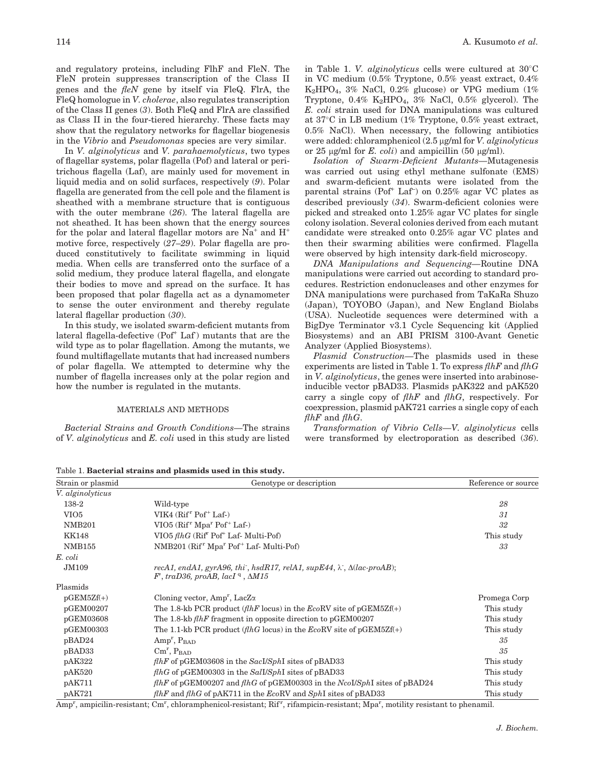and regulatory proteins, including FlhF and FleN. The FleN protein suppresses transcription of the Class II genes and the  $f\ell eN$  gene by itself via FleQ. FlrA, the FleQ homologue in V. cholerae, also regulates transcription of the Class II genes (3). Both FleQ and FlrA are classified as Class II in the four-tiered hierarchy. These facts may show that the regulatory networks for flagellar biogenesis in the Vibrio and Pseudomonas species are very similar.

In V. alginolyticus and V. parahaemolyticus, two types of flagellar systems, polar flagella (Pof) and lateral or peritrichous flagella (Laf), are mainly used for movement in liquid media and on solid surfaces, respectively (9). Polar flagella are generated from the cell pole and the filament is sheathed with a membrane structure that is contiguous with the outer membrane (26). The lateral flagella are not sheathed. It has been shown that the energy sources for the polar and lateral flagellar motors are  $Na<sup>+</sup>$  and  $H<sup>+</sup>$ motive force, respectively (27–29). Polar flagella are produced constitutively to facilitate swimming in liquid media. When cells are transferred onto the surface of a solid medium, they produce lateral flagella, and elongate their bodies to move and spread on the surface. It has been proposed that polar flagella act as a dynamometer to sense the outer environment and thereby regulate lateral flagellar production (30).

In this study, we isolated swarm-deficient mutants from lateral flagella-defective (Pof<sup>+</sup> Laf) mutants that are the wild type as to polar flagellation. Among the mutants, we found multiflagellate mutants that had increased numbers of polar flagella. We attempted to determine why the number of flagella increases only at the polar region and how the number is regulated in the mutants.

## MATERIALS AND METHODS

Bacterial Strains and Growth Conditions—The strains of V. alginolyticus and E. coli used in this study are listed in Table 1. V. *alginolyticus* cells were cultured at  $30^{\circ}$ C in VC medium (0.5% Tryptone, 0.5% yeast extract, 0.4%  $K_2HPO_4$ , 3% NaCl, 0.2% glucose) or VPG medium (1%) Tryptone,  $0.4\%$  K<sub>2</sub>HPO<sub>4</sub>,  $3\%$  NaCl,  $0.5\%$  glycerol). The E. coli strain used for DNA manipulations was cultured at  $37^{\circ}$ C in LB medium (1% Tryptone, 0.5% yeast extract, 0.5% NaCl). When necessary, the following antibiotics were added: chloramphenicol  $(2.5 \mu g/ml$  for *V. alginolyticus* or 25  $\mu$ g/ml for *E. coli*) and ampicillin (50  $\mu$ g/ml).

Isolation of Swarm-Deficient Mutants—Mutagenesis was carried out using ethyl methane sulfonate (EMS) and swarm-deficient mutants were isolated from the parental strains (Pof<sup>+</sup> Laf<sup>-</sup>) on 0.25% agar VC plates as described previously (34). Swarm-deficient colonies were picked and streaked onto 1.25% agar VC plates for single colony isolation. Several colonies derived from each mutant candidate were streaked onto 0.25% agar VC plates and then their swarming abilities were confirmed. Flagella were observed by high intensity dark-field microscopy.

DNA Manipulations and Sequencing—Routine DNA manipulations were carried out according to standard procedures. Restriction endonucleases and other enzymes for DNA manipulations were purchased from TaKaRa Shuzo (Japan), TOYOBO (Japan), and New England Biolabs (USA). Nucleotide sequences were determined with a BigDye Terminator v3.1 Cycle Sequencing kit (Applied Biosystems) and an ABI PRISM 3100-Avant Genetic Analyzer (Applied Biosystems).

Plasmid Construction—The plasmids used in these experiments are listed in Table 1. To express  $f\ln F$  and  $f\ln G$ in V. alginolyticus, the genes were inserted into arabinoseinducible vector pBAD33. Plasmids pAK322 and pAK520 carry a single copy of  $f\ln F$  and  $f\ln G$ , respectively. For coexpression, plasmid pAK721 carries a single copy of each  $f\ln F$  and  $f\ln G$ .

Transformation of Vibrio Cells—V. alginolyticus cells were transformed by electroporation as described (36).

Table 1. Bacterial strains and plasmids used in this study.

| Strain or plasmid | Genotype or description                                                                                                                        | Reference or source |
|-------------------|------------------------------------------------------------------------------------------------------------------------------------------------|---------------------|
| V. alginolyticus  |                                                                                                                                                |                     |
| 138-2             | Wild-type                                                                                                                                      | 28                  |
| VIO <sub>5</sub>  | VIK4 $(Rifr Pof+ Laf-)$                                                                                                                        | 31                  |
| <b>NMB201</b>     | VIO5 (Rif <sup>r</sup> Mpa <sup>r</sup> Pof <sup>+</sup> Laf-)                                                                                 | 32                  |
| <b>KK148</b>      | VIO5 flhG (Riff Pof <sup>+</sup> Laf- Multi-Pof)                                                                                               | This study          |
| <b>NMB155</b>     | NMB201 (Rif <sup>r</sup> Mpa <sup>r</sup> Pof <sup>+</sup> Laf- Multi-Pof)                                                                     | 33                  |
| E. coli           |                                                                                                                                                |                     |
| <b>JM109</b>      | recA1, endA1, gyrA96, thi, hsdR17, relA1, supE44, $\lambda$ , $\Delta (lac$ -proAB);<br>$F'$ , traD36, proAB, lacI <sup>q</sup> , $\Delta M15$ |                     |
| Plasmids          |                                                                                                                                                |                     |
| $pGEM5Zf(+)$      | Cloning vector, $Amp^r$ , LacZ $\alpha$                                                                                                        | Promega Corp        |
| pGEM00207         | The 1.8-kb PCR product ( <i>flhF</i> locus) in the $EcoRV$ site of pGEM5Zf(+)                                                                  | This study          |
| pGEM03608         | The 1.8-kb $f\ln F$ fragment in opposite direction to pGEM00207                                                                                | This study          |
| pGEM00303         | The 1.1-kb PCR product ( <i>fthG</i> locus) in the $EcoRV$ site of pGEM5Zf(+)                                                                  | This study          |
| pBAD24            | $Amp^r, P_{\text{BAD}}$                                                                                                                        | 35                  |
| pBAD33            | $\text{Cm}^r$ , $\text{P}_{\text{BAD}}$                                                                                                        | 35                  |
| pAK322            | $f\llbracket hF \rrbracket$ of pGEM03608 in the SacI/SphI sites of pBAD33                                                                      | This study          |
| pAK520            | $f\llbracket hG \rbrack$ of pGEM00303 in the Sall/SphI sites of pBAD33                                                                         | This study          |
| pAK711            | $f\ell hF$ of pGEM00207 and $f\ell hG$ of pGEM00303 in the Ncolls ph sites of pBAD24                                                           | This study          |
| pAK721            | <i>flhF</i> and <i>flhG</i> of pAK711 in the <i>EcoRV</i> and <i>SphI</i> sites of pBAD33                                                      | This study          |

Amp<sup>r</sup>, ampicilin-resistant; Cm<sup>r</sup>, chloramphenicol-resistant; Rif<sup>r</sup>, rifampicin-resistant; Mpa<sup>r</sup>, motility resistant to phenamil.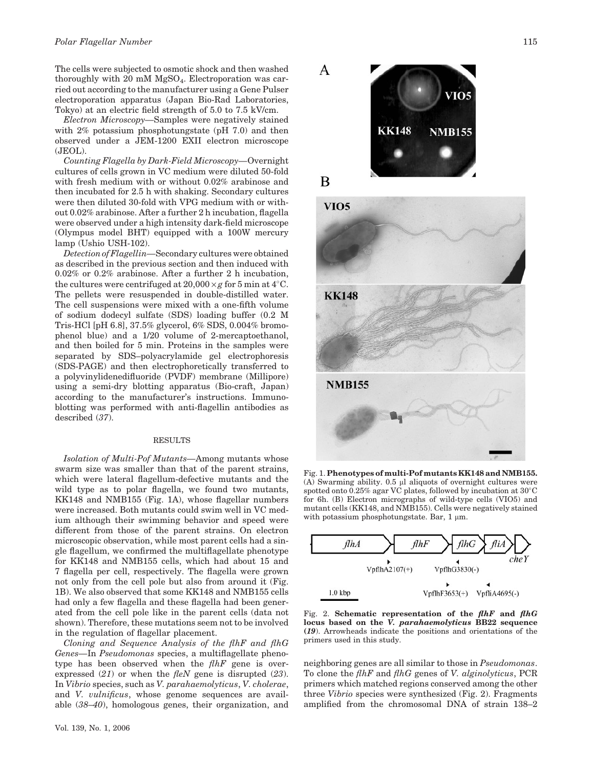The cells were subjected to osmotic shock and then washed thoroughly with 20 mM  $MgSO<sub>4</sub>$ . Electroporation was carried out according to the manufacturer using a Gene Pulser electroporation apparatus (Japan Bio-Rad Laboratories, Tokyo) at an electric field strength of 5.0 to 7.5 kV/cm.

Electron Microscopy—Samples were negatively stained with 2% potassium phosphotungstate (pH 7.0) and then observed under a JEM-1200 EXII electron microscope (JEOL).

Counting Flagella by Dark-Field Microscopy—Overnight cultures of cells grown in VC medium were diluted 50-fold with fresh medium with or without 0.02% arabinose and then incubated for 2.5 h with shaking. Secondary cultures were then diluted 30-fold with VPG medium with or without 0.02% arabinose. After a further 2 h incubation, flagella were observed under a high intensity dark-field microscope (Olympus model BHT) equipped with a 100W mercury lamp (Ushio USH-102).

Detection of Flagellin—Secondary cultures were obtained as described in the previous section and then induced with 0.02% or 0.2% arabinose. After a further 2 h incubation, the cultures were centrifuged at  $20,000 \times g$  for 5 min at 4°C. The pellets were resuspended in double-distilled water. The cell suspensions were mixed with a one-fifth volume of sodium dodecyl sulfate (SDS) loading buffer (0.2 M Tris-HCl [pH 6.8], 37.5% glycerol, 6% SDS, 0.004% bromophenol blue) and a 1/20 volume of 2-mercaptoethanol, and then boiled for 5 min. Proteins in the samples were separated by SDS–polyacrylamide gel electrophoresis (SDS-PAGE) and then electrophoretically transferred to a polyvinylidenedifluoride (PVDF) membrane (Millipore) using a semi-dry blotting apparatus (Bio-craft, Japan) according to the manufacturer's instructions. Immunoblotting was performed with anti-flagellin antibodies as described (37).

#### **RESULTS**

Isolation of Multi-Pof Mutants—Among mutants whose swarm size was smaller than that of the parent strains, which were lateral flagellum-defective mutants and the wild type as to polar flagella, we found two mutants, KK148 and NMB155 (Fig. 1A), whose flagellar numbers were increased. Both mutants could swim well in VC medium although their swimming behavior and speed were different from those of the parent strains. On electron microscopic observation, while most parent cells had a single flagellum, we confirmed the multiflagellate phenotype for KK148 and NMB155 cells, which had about 15 and 7 flagella per cell, respectively. The flagella were grown not only from the cell pole but also from around it (Fig. 1B). We also observed that some KK148 and NMB155 cells had only a few flagella and these flagella had been generated from the cell pole like in the parent cells (data not shown). Therefore, these mutations seem not to be involved in the regulation of flagellar placement.

Cloning and Sequence Analysis of the flhF and flhG Genes—In Pseudomonas species, a multiflagellate phenotype has been observed when the  $f\ln F$  gene is overexpressed  $(21)$  or when the *fleN* gene is disrupted  $(23)$ . In Vibrio species, such as V. parahaemolyticus, V. cholerae, and V. vulnificus, whose genome sequences are available (38–40), homologous genes, their organization, and







Fig. 1. Phenotypes of multi-Pof mutants KK148 and NMB155.  $(A)$  Swarming ability. 0.5  $\mu$ l aliquots of overnight cultures were spotted onto  $0.25\%$  agar VC plates, followed by incubation at  $30^{\circ}$ C for 6h. (B) Electron micrographs of wild-type cells (VIO5) and mutant cells (KK148, and NMB155). Cells were negatively stained with potassium phosphotungstate. Bar,  $1 \mu m$ .



Fig. 2. Schematic representation of the  $f\ell hF$  and  $f\ell hG$ locus based on the V. parahaemolyticus BB22 sequence (19). Arrowheads indicate the positions and orientations of the primers used in this study.

neighboring genes are all similar to those in Pseudomonas. To clone the flhF and flhG genes of V. alginolyticus, PCR primers which matched regions conserved among the other three Vibrio species were synthesized (Fig. 2). Fragments amplified from the chromosomal DNA of strain 138–2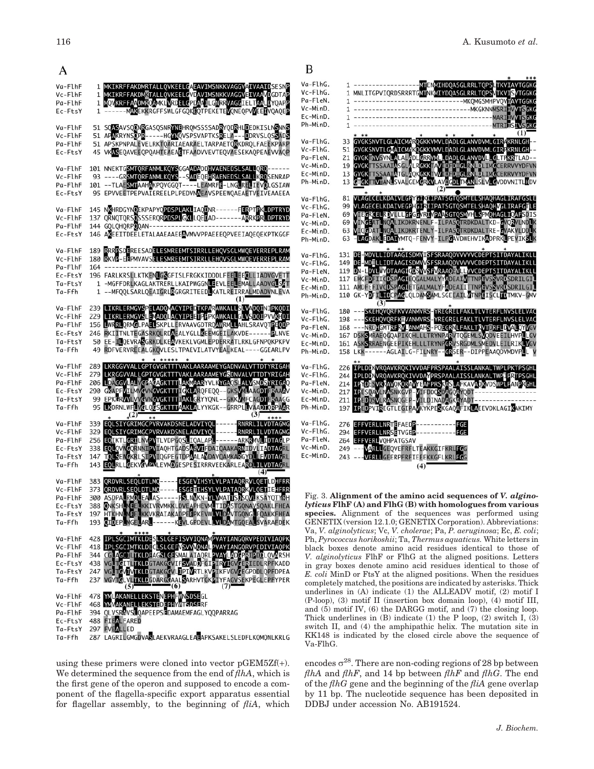MTENMIHDOASGLRRLT

| Va-FlhF   |         | 1 MKIKRFFAKDMRTALLQVKEELGAEAVIMSNKKVAGGVAIVAAIDSESNP                                                | Va-FlhG.    |
|-----------|---------|-----------------------------------------------------------------------------------------------------|-------------|
| Vc-FlhF   | 1       | MKIKRFFAKDMKTALLQVKEELGVDAVIMSNKKVAGGVEIVAAVDGDTAP                                                  | Vc-FlhG.    |
| Pa-FlhF   |         | 1 MQVKRFFAADMRQAMKLVRDELGPDAAILGNRRVAGGIELTAALDYQAPP                                                | Pa-FleN.    |
| Ec-FtsY   |         | 1 ------ MAKEKKRGFFSWLGFGQKLQTPEKETEVQNEQPVVEELVQAQEP                                               | Vc-MinD.    |
|           |         |                                                                                                     | Ec-MinD.    |
| Va-FlhF   |         | 51 SQASAVSQQNRGASQSNRYNEHRQMSSSSADRYQDRHLDEDKISLNSNNS                                               | Ph-MinD.    |
| Vc-FlhF   |         | 51 APAKRYNSOPR-----HGYNQVSPSVAPTKSRELA---DDRVSLQSSADS                                               |             |
| Pa-FlhF   |         | 51 APSKPNPALEVELRKTQARIAEARAELTARPAETQRKDRQLFAEEKPARP                                               | Va-FlhG.    |
| Ec-FtsY   |         | 45 VKASEQAVEEQPQAHTEAEAETFAADVVEVTEQVAESEKAQPEAEVVAQP                                               | Vc-FlhG.    |
|           |         |                                                                                                     | Pa-FleN.    |
| Va-FlhF   |         | 101 NNEKTGSMTQRFANMLKQYSGGAADADDHVAENEDSLSALLQRQ------                                              | Vc-MinD.    |
| Vc-FlhF   |         | 93 ----GRSMTQRFANMLKQYS--SADEQEHRAENEDSLSALLKRQSENRAP                                               | Ec-MinD.    |
| Pa-FlhF   |         | 101 -- TLAESMTAAHAKPQVGGQT ---- LEAMRFE-LNGLRELIEVOLGSIAW                                           | Ph-MinD.    |
| Ec-FtsY   |         | 95 EPVVEETPEPVAIEREELPLPEDVNAEAVSPEEWOAEAETVEIVEAAEEA                                               |             |
|           |         |                                                                                                     | Va-FlhG.    |
| Va-FlhF   |         | 145 NKHRDGYNOEKPAPYOPDSPLAKLIAODNR------FERPTPKLDPTRYD                                              | Vc-FlhG.    |
| Vc-FlhF   |         | 137 QRNQTQRSQSSSERQR <mark>PDSPLGKL</mark> LQEDAD-------ARRKPRLDPTRYD                               | Pa-FleN.    |
| Pa-FlhF   |         | 144 GQLQHQRPOQAN----------                                                                          | Vc-MinD.    |
| Ec-FtsY   |         | 146 AKEEITDEELETALAAEAAEEAVMVVPPAEEEQPVEEIAQEQEKPTKGGF                                              | Ec-MinD.    |
|           |         |                                                                                                     | Ph-MinD.    |
| Va-FlhF   |         | 189 RRRPSDEREESADELESMREEMTSIRRLLEHQVSGLMWQEVERREPLRAM                                              |             |
| Vc-FlhF   |         | 180 RKVP-EEPMVAVSELESMREEMTSIRRLLEHOVSGLMWOEVERREPLRAM                                              | Va-FlhG.    |
| Pa-FlhF   | $164 -$ |                                                                                                     | Vc-FlhG.    |
| Ec-FtsY   |         | 196 FARLKRSLLKTKENLGSGFISLFRGKKIDDDLFEELEEQLLIADVGVETT                                              | Pa-FleN.    |
| Ta-FtsY   |         | 1 -MGFFDRLKAGLAKTRERLLKAIPWGGNLEEVLEELEMALLAADVGLSAT                                                | Vc-MinD.    |
| Ta-Ffh    |         | 1 -- MFQQLSARLQEAIGRLRGRGRITEEDLKATLREIRRALMDADVNLEVA                                               | Ec-MinD.    |
|           |         | (1)                                                                                                 | Ph-MinD.    |
| Va-FlhF   |         | 239 LIKRLERMGVSPELADQMACYIPEDTKPARAWKALLSLVADQINIPKQDI                                              |             |
| Vc-FlhF   |         | 229 LIKRLERMGVSLEVADQLACYIPEETFFPKAWKALLGLVSDQIPVVKHDI                                              | Va-FlhG.    |
| Pa-FlhF   |         | 156 LWRRLQRMGLPAELSKPLLERVAAVGDTRQAWRMLLAHLSRAVQTPEQDP                                              | Vc-FlhG.    |
| Ec-FtsY   |         | 246 RKIITNLTEGASRKQLRDAEALYGLLKEEMGEILAKVDE------ PLNVE                                             | Pa-FleN.    |
| Ta-FtsY   |         | 50 EE-ILQEVRASGRKDLKEAVKEKLVGMLEPDERRATLRKLGFNPQKPKPV                                               | Vc-MinD.    |
| Ta-Ffh    |         | 49 RDFVERVREEALGKOVLESLTPAEVILATVYEALKEAL ---- GGEARLPV                                             | Ec-MinD.    |
|           |         | * *****                                                                                             | Ph-MinD.    |
| Va-FlhF   |         | 289 LKRGGVVALLGPTGVGKTTTVAKLAARAAMEYGADNVALVTTDTYRIGAH                                              | Va-FlhG.    |
| Vc-FlhF   |         | 279 LKRGGVVALLGPTGVGKTTTVAKLAARAAMEYGSDNVALVTTDTYRIGAH                                              | Vc-FlhG.    |
| Pa-FlhF   |         | 206 LDAGGVLALVGPAGAGKTTTLAKMAARYVLKYGAQSLALVSMDSYRIGAQ                                              | Pa-FleN.    |
| Ec-FtsY   |         | 290 GKAPFVILMVCVNGVGKTTTIGKLARQFEQQ--GKSVMLAAGDTFRAAAV                                              | Vc-MinD.    |
| Ta-FtsY   |         | 99 EPKGRWL WCVNGVGKTTTIAKLGRYYQNL -- GKKWIFCAGDTFRAAGG                                              | Ec-MinD.    |
| Ta-Ffh    |         | 95 LKDRNLWFLVCLQCSGKTTTAAKLALYYKGK--GRRPLLVAADTQRPAAR                                               | Ph-MinD.    |
|           |         | $(2)^{-}$<br>(3)<br>****                                                                            |             |
| Va-FlhF   |         | **<br>339 EQLSIYGRIMGCPVRVAKDSNELADVIYQL------ RNRRLILVDTAGMG                                       | Va-FlhG.    |
| Vc-FlhF   |         | 329 EQLSIYGRIMGCPVRVAKDSNELADVIYQL------ RNRRLILVDTAGMG                                             | Vc-FlhG.    |
| Pa-FlhF   |         | 256 EQIKTLGRILNVPVTLVDPGQSLIQALAPL------ARKRMVLIDTAGLP                                              | Pa-FleN.    |
| Ec-FtsY   |         | 338 EQLQVWGQRNNIPVIAQHTGADSASVIFDAIQAAKARNIDVLIADTAGRL                                              | Vc-MinD.    |
| Ta-FtsY   |         | 147 TOLSEWGKRLSIPVIQGPEGTDPAALAYDAVQAMKARGYDLLFVDTAGRL                                              | Ec-MinD.    |
| Ta-Ffh    | 143     | EQLRLLGEKVCVPVLEVMDGESPESIRRRVEEKARLEARDLILVDTAGRL                                                  |             |
|           |         | (4)                                                                                                 |             |
| Va-FlhF   |         | 383 QRDVRLSEQLDTLMQ----- <mark>ESGEV</mark> IHSYLVLPATAQR <mark>R</mark> VLQET <mark>LD</mark> HFRR |             |
| Vc-FlhF   |         | 373 QRDVRLSEQLDTLMQ----- <mark>ESGET</mark> IHSYLVLPATAQRKVLQETIEHFRR                               |             |
| Pa-FlhF   |         | 300 ASDPALRMOLEALAS ----- PSLNVKN-YLVMATTSOSOVLKSAYQTYRH                                            | Fig. 3.     |
| Ec-FtsY   |         | 388 ONKSHOMEELKKIVRVMKKLDVEAPHEVMLTIDASTGQNAVSQAKLFHEA                                              | lyticus     |
| Ta-FtsY   |         | 197 HTKHNLMEELKKVKRAIAKADPELPKEVWLVLDAVTGQNGLEQAKKFHEA                                              | specie      |
| Ta-Ffh    |         | 193 QIDEPLWGELARL ------ KEVLGPDEVLLVLDAMTGQEALSVARAFDEK                                            | <b>GENE</b> |
|           |         |                                                                                                     | Va, V.      |
| Va-FlhF   |         | 428 IPLSGCIMTKLDESLSLGEFISVVIQNAMPVAYIANGQRVPEDIVIAQPK                                              |             |
| Vc-FlhF   |         | 418 IPLSGCIMTKLDECLSLGEFVSVVVQNALPVAYIANGQRVPEDIVIAQPK                                              | Ph, PyI     |
| Pa-FlhF   |         | 344 CGLAGCILTKLDEAGSLGESMALAIAQRLPVAYLADGPRIPDDLQVARSH                                              | black       |
| Ec-FtsY   |         | 438 VGLTGIILTKLDGTAKGGVIFSVADOFGIPIRYIGVGERIEDLRPFKADD                                              | V. algi     |
| Ta-FtsY   |         |                                                                                                     | in gray     |
| Ta-Ffh    |         | 247 VGLTGVIXILGTAKGGVLTPIXXTLKVPIKFVGVCEGPDDLQPFDPEA                                                | E. coli     |
|           |         | (7)<br>(5)<br>-(6)                                                                                  | comple      |
| Va-FlhF   |         | 478 YMLAKANELLEKSTENEPHFWNSDSEGL                                                                    | underl      |
| Vc-FlhF   |         | 468 YMVAKANELLEKSTEDEPHYMTSDSERF                                                                    | $(P-loop)$  |
| Pa-FlhF   |         | 394 OLVSRAVSLOAPEEPSFDAMAEMFAGLYOOPARRAG                                                            | and $(5)$   |
| Ec-FtsY   |         | <b>488 FIEALFARED</b>                                                                               | Thick 1     |
| $Ta-F+sY$ |         | 297 EVEALLED                                                                                        | switch      |
|           |         |                                                                                                     |             |

287 LAGRILGMGDVASLAEKVRAAGLEAEAPKSAKELSLEDFLKQMQNLKRLG  $Ta-Ffh$ 

using these primers were cloned into vector  $pGEM5Zf(+)$ . We determined the sequence from the end of  $f/hA$ , which is the first gene of the operon and supposed to encode a component of the flagella-specific export apparatus essential for flagellar assembly, to the beginning of  $fliA$ , which  $c$ -Flh $G$ . MNLITGPVIQRDSRRRTGMTNKMIYDQASGLRRLTQPSVTKVISVTGGKO  $\mathbf{1}$ a-FleN. MKQMGSMHPVQVIAVTGGKO  $\mathbf{1}$ c-MinD. -MKGKNNMSRITVVT 1 **GKC**  $c$ -MinD. **MARTH** 1  $h$ -MinD. **MTRTH** 1 a-FlhG. 33 GVGKSNVTLGLAICMA OGKKVMVLDADLGLANVDVMLGIR KRNI GH  $c$ -Flh $G$ . 51 GVGKSNVTLGMAICMAKOGKKVMVLDADLGLANVDVMLGIR<mark>F</mark>KRNLGH GVGKTINVSVNLALALADLGRRVMLLDADLGLANVDVLLGLTFKRTLAD--<br>GVGKTTSSAATASGLALRGKKTAVTDFDTGLRNLDLINGCERRVVYDFVN<br>GVGKTTSSAATATGLAQKGKKTVVIDFDTGLRNLDLINGCERRVVYDFVN a-FleN.  $21$  $c$ -MinD.  $19$ c-MinD. 13 KVLAVDGDLTMANLSLVLGVDDVNITLHDV h-MinD. **IVIAN SVALGE** 13 THE CONTRACT CONTRACT CONTRACT CONTRACT CONTRACT CONTRACT CONTRACT CONTRACT CONTRACT CONTRACT CONTRACT CONTRACT CONTRACT CONTRACT CONTRACT CONTRACT CONTRACT CONTRACT CONTRACT CONTRACT CONTRACT CONTRACT CONTRACT CONTRACT CO  $(2)$  $a-F1hG$ . 81  $c$ -Flh $G$ . 99 69 a-FleN. c-MinD. 69 63 c-MinD. 63 AKLEDAIYMTQ-FENVY-ILPGAVDWEHVIKADPRKLPEVI  $h$ -MinD. 131 DE-MDVLLIDTAAGTSDMVISFSRAAQDVVVVVCDEPTSITDAYALIKLL<br>149 DE-MDILLIDTAAGTSDMVVSFSRAAQDVVVVVCDEPTSITDAYALIKLL<br>119 DN-LDVLVVDTAAGTGDSVVSFVRAAQEVLLVVCDEPTSITDAYALIKLL<br>117 EMGFDFTICDSPAGTEQGALMALYYADEATVTTNPEVSSVRDSDRTLGTL<br>11  $n-F1hG$ c-FlhG. a-FleN. c-MinD. c-MinD. 110 GK-YDFILTOCPAGLQLDAMSAMLSGEEAILWTNPEISCLTOTMKV-GMV h-MinD.  $(3)$ <sup>'</sup> a-FlhG. SKEHOVORFKVVANMVRS-YREGRELFAKLTLVTERFLNVSLELVAC 180 198 ---SKEHOVORFKIJVANMYRS-YREGRELFAKLTLVTERFLNVSLELVAC<br>168 ---NRDHOMTRFRV JANMAHS-POEGRNLFAKLTLVTERFLNVSLELVAC<br>167 DSKSMRAEQGOAPIKOHLLLTRYNPARVTOGEMLSVODVEEILHVPLLGV<br>161 ASKSRRAENGEEPIKEHLLLTRYNPARVTOGEMLSMEDVLEILRIKLVGV  $c$ -FlhG a-FleN. c-MinD. :-MinD. ----AGLAILG-FILNRY--CRSER--DIPPEAAQDVMDVP h-MinD. 158  $a-F1hG$ . IPLDDKVRQAVKRQKIVVDAFPRSPAALAISSLANKALTWPLPKTPSGH 226  $c$ -FlhG. IPLDD<mark>NVRQAVKRQKIVVDAM</mark>PRSPAALAISSLANKALTWP<mark>I</mark>PRTPSGHL 244 214 TRYDESVRYAVOKORAVYEAFPRSKASLAFKAVADRVDSWPLFANDRGHL<br>217 TPESOAVLNASNKGVP-VIFPDQSDAGOAYODT-----------------<br>211 TPEDOSVLRASNQGEP-VILDINADAGKAYADT----------------- $a-Flen$ .  $c$ -MinD. c-MinD. h-MinD. VIREGTLEGIPAM YKPESKGAOAFIKLAEEVDKLAGIKAKIMY 197 a-FlhG. EFFVERLLNRTEFAEDP<br>EFFVERLLNRSETVGEP 276  $c$ -Flh $G$ . 294 a-FleN. 264 **EFFVERLVQHPATGSAV**  $c$ -MinD VARLLGEQVEFRFLTEAKKGIFKRLFG 249 c-MinD. VERLIGEERPFRFIEEEKKGFLKRLFG 243

B

Fig. 3. Alignment of the amino acid sequences of V. alginolyticus FlhF (A) and FlhG (B) with homologues from various species. Alignment of the sequences was performed using GENETIX (version 12.1.0; GENETIX Corporation). Abbreviations: Va, V. alginolyticus; Vc, V. cholerae; Pa, P. aeruginosa; Ec, E. coli; Ph, Pyrococcus horikoshii; Ta, Thermus aquaticus. White letters in black boxes denote amino acid residues identical to those of V. alginolyticus FlhF or FlhG at the aligned positions. Letters in gray boxes denote amino acid residues identical to those of E. coli MinD or FtsY at the aligned positions. When the residues completely matched, the positions are indicated by asterisks. Thick underlines in (A) indicate (1) the ALLEADV motif, (2) motif I (P-loop), (3) motif II (insertion box domain loop), (4) motif III, and (5) motif IV, (6) the DARGG motif, and (7) the closing loop. Thick underlines in  $(B)$  indicate  $(1)$  the P loop,  $(2)$  switch I,  $(3)$ switch II, and (4) the amphipathic helix. The mutation site in KK148 is indicated by the closed circle above the sequence of Va-FlhG.

 $(4)$ 

encodes  $\sigma^{28}$ . There are non-coding regions of 28 bp between *flhA* and *flhF*, and 14 bp between *flhF* and *flhG*. The end of the  $fhG$  gene and the beginning of the  $fhA$  gene overlap by 11 bp. The nucleotide sequence has been deposited in DDBJ under accession No. AB191524.

A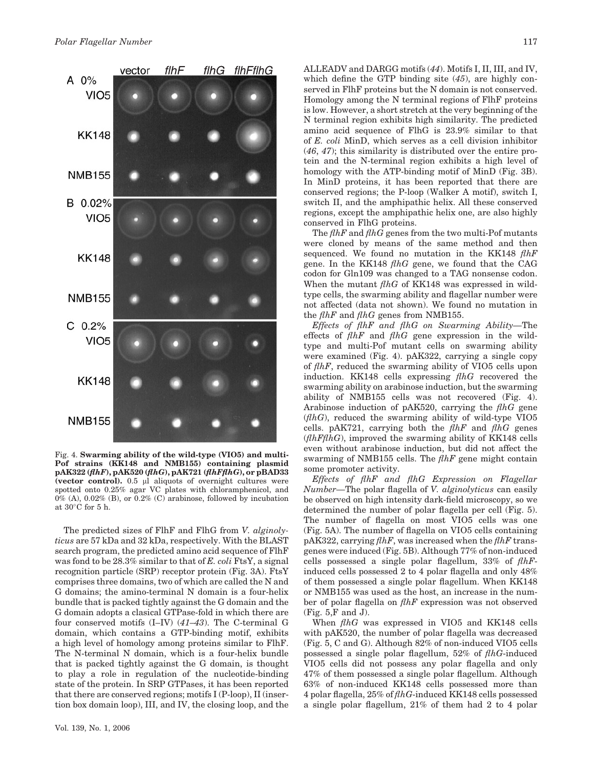

Fig. 4. Swarming ability of the wild-type (VIO5) and multi-Pof strains (KK148 and NMB155) containing plasmid  $pAK322$  ( $fhF$ ),  $pAK520$  ( $fhG$ ),  $pAK721$  ( $fhFfhG$ ), or  $pBAD33$ (vector control).  $0.5$   $\mu$ l aliquots of overnight cultures were spotted onto 0.25% agar VC plates with chloramphenicol, and  $0\%$  (A),  $0.02\%$  (B), or  $0.2\%$  (C) arabinose, followed by incubation at  $30^{\circ}$ C for 5 h.

The predicted sizes of FlhF and FlhG from V. alginolyticus are 57 kDa and 32 kDa, respectively. With the BLAST search program, the predicted amino acid sequence of FlhF was fond to be 28.3% similar to that of E. coli FtsY, a signal recognition particle (SRP) receptor protein (Fig. 3A). FtsY comprises three domains, two of which are called the N and G domains; the amino-terminal N domain is a four-helix bundle that is packed tightly against the G domain and the G domain adopts a clasical GTPase-fold in which there are four conserved motifs (I–IV) (41–43). The C-terminal G domain, which contains a GTP-binding motif, exhibits a high level of homology among proteins similar to FlhF. The N-terminal N domain, which is a four-helix bundle that is packed tightly against the G domain, is thought to play a role in regulation of the nucleotide-binding state of the protein. In SRP GTPases, it has been reported that there are conserved regions; motifs I (P-loop), II (insertion box domain loop), III, and IV, the closing loop, and the ALLEADV and DARGG motifs (44). Motifs I, II, III, and IV, which define the GTP binding site (45), are highly conserved in FlhF proteins but the N domain is not conserved. Homology among the N terminal regions of FlhF proteins is low. However, a short stretch at the very beginning of the N terminal region exhibits high similarity. The predicted amino acid sequence of FlhG is 23.9% similar to that of E. coli MinD, which serves as a cell division inhibitor (46, 47); this similarity is distributed over the entire protein and the N-terminal region exhibits a high level of homology with the ATP-binding motif of MinD (Fig. 3B). In MinD proteins, it has been reported that there are conserved regions; the P-loop (Walker A motif), switch I, switch II, and the amphipathic helix. All these conserved regions, except the amphipathic helix one, are also highly conserved in FlhG proteins.

The  $f\ln F$  and  $f\ln G$  genes from the two multi-Pof mutants were cloned by means of the same method and then sequenced. We found no mutation in the KK148 flhF gene. In the KK148  $fhG$  gene, we found that the CAG codon for Gln109 was changed to a TAG nonsense codon. When the mutant  $fhG$  of KK148 was expressed in wildtype cells, the swarming ability and flagellar number were not affected (data not shown). We found no mutation in the  $f\ln F$  and  $f\ln G$  genes from NMB155.

Effects of flhF and flhG on Swarming Ability—The effects of  $f\ln F$  and  $f\ln G$  gene expression in the wildtype and multi-Pof mutant cells on swarming ability were examined (Fig. 4). pAK322, carrying a single copy of flhF, reduced the swarming ability of VIO5 cells upon induction. KK148 cells expressing flhG recovered the swarming ability on arabinose induction, but the swarming ability of NMB155 cells was not recovered (Fig. 4). Arabinose induction of pAK520, carrying the flhG gene  $(flhG)$ , reduced the swarming ability of wild-type VIO5 cells. pAK721, carrying both the  $f\ln F$  and  $f\ln G$  genes  $(HhFfhG)$ , improved the swarming ability of KK148 cells even without arabinose induction, but did not affect the swarming of NMB155 cells. The  $f\ln F$  gene might contain some promoter activity.

Effects of flhF and flhG Expression on Flagellar Number—The polar flagella of V. alginolyticus can easily be observed on high intensity dark-field microscopy, so we determined the number of polar flagella per cell (Fig. 5). The number of flagella on most VIO5 cells was one (Fig. 5A). The number of flagella on VIO5 cells containing  $pAK322$ , carrying  $f\ln F$ , was increased when the  $f\ln F$  transgenes were induced (Fig. 5B). Although 77% of non-induced cells possessed a single polar flagellum,  $33\%$  of  $f\ln F$ induced cells possessed 2 to 4 polar flagella and only 48% of them possessed a single polar flagellum. When KK148 or NMB155 was used as the host, an increase in the number of polar flagella on flhF expression was not observed (Fig. 5,F and J).

When *flhG* was expressed in VIO5 and KK148 cells with pAK520, the number of polar flagella was decreased (Fig. 5, C and G). Although 82% of non-induced VIO5 cells possessed a single polar flagellum, 52% of flhG-induced VIO5 cells did not possess any polar flagella and only 47% of them possessed a single polar flagellum. Although 63% of non-induced KK148 cells possessed more than 4 polar flagella, 25% of flhG-induced KK148 cells possessed a single polar flagellum, 21% of them had 2 to 4 polar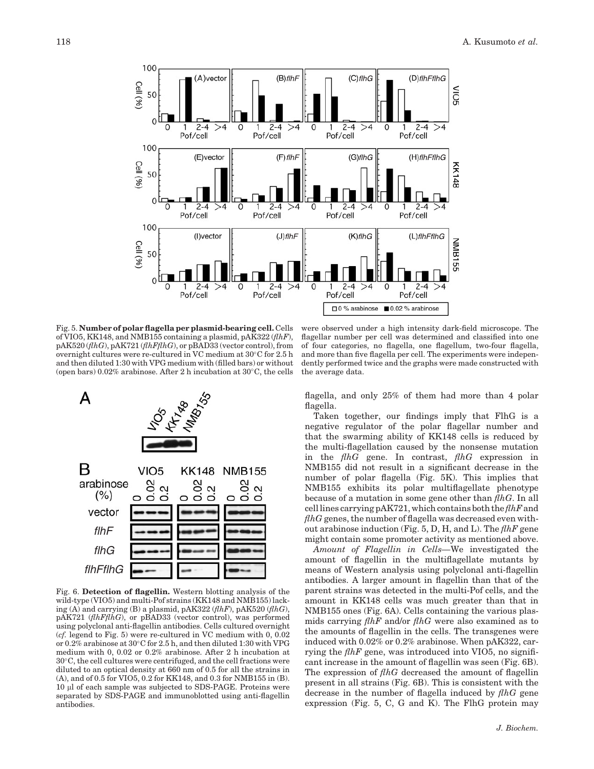

Fig. 5. Number of polar flagella per plasmid-bearing cell. Cells of VIO5, KK148, and NMB155 containing a plasmid, pAK322 ( $flhF$ ),  $pAK520 (fhG), pAK721 (fhFfhG), or pBAD33 (vector control), from$ overnight cultures were re-cultured in VC medium at  $30^{\circ}$ C for 2.5 h and then diluted 1:30 with VPG medium with (filled bars) or without (open bars)  $0.02\%$  arabinose. After 2 h incubation at  $30\degree C$ , the cells



Fig. 6. Detection of flagellin. Western blotting analysis of the wild-type (VIO5) and multi-Pof strains (KK148 and NMB155) lacking (A) and carrying (B) a plasmid, pAK322 ( $f\ell hF$ ), pAK520 ( $f\ell hG$ ), pAK721 (flhFflhG), or pBAD33 (vector control), was performed using polyclonal anti-flagellin antibodies. Cells cultured overnight (cf. legend to Fig. 5) were re-cultured in VC medium with 0, 0.02 or 0.2% arabinose at 30°C for 2.5 h, and then diluted 1:30 with VPG medium with 0, 0.02 or 0.2% arabinose. After 2 h incubation at  $30^{\circ}$ C, the cell cultures were centrifuged, and the cell fractions were diluted to an optical density at 660 nm of 0.5 for all the strains in (A), and of 0.5 for VIO5, 0.2 for KK148, and 0.3 for NMB155 in (B). 10 ml of each sample was subjected to SDS-PAGE. Proteins were separated by SDS-PAGE and immunoblotted using anti-flagellin antibodies.

were observed under a high intensity dark-field microscope. The flagellar number per cell was determined and classified into one of four categories, no flagella, one flagellum, two-four flagella, and more than five flagella per cell. The experiments were independently performed twice and the graphs were made constructed with the average data.

flagella, and only 25% of them had more than 4 polar flagella.

Taken together, our findings imply that FlhG is a negative regulator of the polar flagellar number and that the swarming ability of KK148 cells is reduced by the multi-flagellation caused by the nonsense mutation in the  $fhG$  gene. In contrast,  $fhG$  expression in NMB155 did not result in a significant decrease in the number of polar flagella (Fig. 5K). This implies that NMB155 exhibits its polar multiflagellate phenotype because of a mutation in some gene other than  $fhG$ . In all cell lines carrying pAK721, which contains both the  $f\ln F$  and  $fhG$  genes, the number of flagella was decreased even without arabinose induction (Fig. 5, D, H, and L). The  $f\ln F$  gene might contain some promoter activity as mentioned above.

Amount of Flagellin in Cells—We investigated the amount of flagellin in the multiflagellate mutants by means of Western analysis using polyclonal anti-flagellin antibodies. A larger amount in flagellin than that of the parent strains was detected in the multi-Pof cells, and the amount in KK148 cells was much greater than that in NMB155 ones (Fig. 6A). Cells containing the various plasmids carrying  $f\ln F$  and/or  $f\ln G$  were also examined as to the amounts of flagellin in the cells. The transgenes were induced with 0.02% or 0.2% arabinose. When pAK322, carrying the  $f\ln F$  gene, was introduced into VIO5, no significant increase in the amount of flagellin was seen (Fig. 6B). The expression of  $f\ln G$  decreased the amount of flagellin present in all strains (Fig. 6B). This is consistent with the decrease in the number of flagella induced by  $f\{thG\}$  gene expression (Fig. 5, C, G and K). The FlhG protein may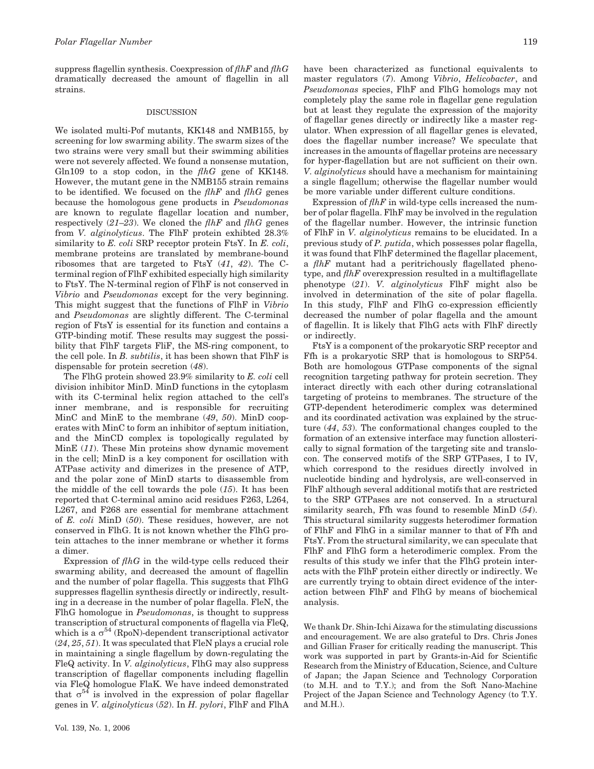suppress flagellin synthesis. Coexpression of  $f\ln F$  and  $f\ln G$ dramatically decreased the amount of flagellin in all strains.

## DISCUSSION

We isolated multi-Pof mutants, KK148 and NMB155, by screening for low swarming ability. The swarm sizes of the two strains were very small but their swimming abilities were not severely affected. We found a nonsense mutation, Gln109 to a stop codon, in the  $fhG$  gene of KK148. However, the mutant gene in the NMB155 strain remains to be identified. We focused on the  $f\ln F$  and  $f\ln G$  genes because the homologous gene products in Pseudomonas are known to regulate flagellar location and number, respectively  $(21-23)$ . We cloned the *flhF* and *flhG* genes from V. alginolyticus. The FlhF protein exhibted 28.3% similarity to E. coli SRP receptor protein FtsY. In E. coli, membrane proteins are translated by membrane-bound ribosomes that are targeted to FtsY (41, 42). The Cterminal region of FlhF exhibited especially high similarity to FtsY. The N-terminal region of FlhF is not conserved in Vibrio and Pseudomonas except for the very beginning. This might suggest that the functions of FlhF in Vibrio and Pseudomonas are slightly different. The C-terminal region of FtsY is essential for its function and contains a GTP-binding motif. These results may suggest the possibility that FlhF targets FliF, the MS-ring component, to the cell pole. In B. subtilis, it has been shown that FlhF is dispensable for protein secretion (48).

The FlhG protein showed 23.9% similarity to E. coli cell division inhibitor MinD. MinD functions in the cytoplasm with its C-terminal helix region attached to the cell's inner membrane, and is responsible for recruiting MinC and MinE to the membrane (49, 50). MinD cooperates with MinC to form an inhibitor of septum initiation, and the MinCD complex is topologically regulated by MinE (11). These Min proteins show dynamic movement in the cell; MinD is a key component for oscillation with ATPase activity and dimerizes in the presence of ATP, and the polar zone of MinD starts to disassemble from the middle of the cell towards the pole  $(15)$ . It has been reported that C-terminal amino acid residues F263, L264, L267, and F268 are essential for membrane attachment of E. coli MinD (50). These residues, however, are not conserved in FlhG. It is not known whether the FlhG protein attaches to the inner membrane or whether it forms a dimer.

Expression of  $fhG$  in the wild-type cells reduced their swarming ability, and decreased the amount of flagellin and the number of polar flagella. This suggests that FlhG suppresses flagellin synthesis directly or indirectly, resulting in a decrease in the number of polar flagella. FleN, the FlhG homologue in *Pseudomonas*, is thought to suppress transcription of structural components of flagella via FleQ, which is a  $\sigma^{54}$  (RpoN)-dependent transcriptional activator  $(24, 25, 51)$ . It was speculated that FleN plays a crucial role in maintaining a single flagellum by down-regulating the FleQ activity. In *V. alginolyticus*, FlhG may also suppress transcription of flagellar components including flagellin via FleQ homologue FlaK. We have indeed demonstrated that  $\sigma^{54}$  is involved in the expression of polar flagellar genes in V. alginolyticus (52). In H. pylori, FlhF and FlhA have been characterized as functional equivalents to master regulators (7). Among Vibrio, Helicobacter, and Pseudomonas species, FlhF and FlhG homologs may not completely play the same role in flagellar gene regulation but at least they regulate the expression of the majority of flagellar genes directly or indirectly like a master regulator. When expression of all flagellar genes is elevated, does the flagellar number increase? We speculate that increases in the amounts of flagellar proteins are necessary for hyper-flagellation but are not sufficient on their own. V. alginolyticus should have a mechanism for maintaining a single flagellum; otherwise the flagellar number would be more variable under different culture conditions.

Expression of  $f\ln F$  in wild-type cells increased the number of polar flagella. FlhF may be involved in the regulation of the flagellar number. However, the intrinsic function of FlhF in V. alginolyticus remains to be elucidated. In a previous study of P. putida, which possesses polar flagella, it was found that FlhF determined the flagellar placement, a flhF mutant had a peritrichously flagellated phenotype, and  $f\ln F$  overexpression resulted in a multiflagellate phenotype (21). V. alginolyticus FlhF might also be involved in determination of the site of polar flagella. In this study, FlhF and FlhG co-expression efficiently decreased the number of polar flagella and the amount of flagellin. It is likely that FlhG acts with FlhF directly or indirectly.

FtsY is a component of the prokaryotic SRP receptor and Ffh is a prokaryotic SRP that is homologous to SRP54. Both are homologous GTPase components of the signal recognition targeting pathway for protein secretion. They interact directly with each other during cotranslational targeting of proteins to membranes. The structure of the GTP-dependent heterodimeric complex was determined and its coordinated activation was explained by the structure (44, 53). The conformational changes coupled to the formation of an extensive interface may function allosterically to signal formation of the targeting site and translocon. The conserved motifs of the SRP GTPases, I to IV, which correspond to the residues directly involved in nucleotide binding and hydrolysis, are well-conserved in FlhF although several additional motifs that are restricted to the SRP GTPases are not conserved. In a structural similarity search, Ffh was found to resemble MinD  $(54)$ . This structural similarity suggests heterodimer formation of FlhF and FlhG in a similar manner to that of Ffh and FtsY. From the structural similarity, we can speculate that FlhF and FlhG form a heterodimeric complex. From the results of this study we infer that the FlhG protein interacts with the FlhF protein either directly or indirectly. We are currently trying to obtain direct evidence of the interaction between FlhF and FlhG by means of biochemical analysis.

We thank Dr. Shin-Ichi Aizawa for the stimulating discussions and encouragement. We are also grateful to Drs. Chris Jones and Gillian Fraser for critically reading the manuscript. This work was supported in part by Grants-in-Aid for Scientific Research from the Ministry of Education, Science, and Culture of Japan; the Japan Science and Technology Corporation (to M.H. and to T.Y.); and from the Soft Nano-Machine Project of the Japan Science and Technology Agency (to T.Y. and M.H.).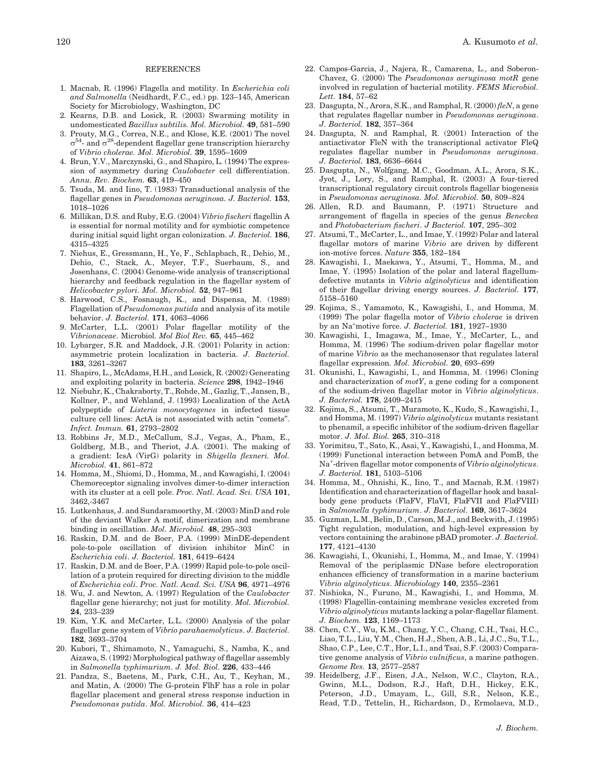## **REFERENCES**

- 1. Macnab, R. (1996) Flagella and motility. In Escherichia coli and Salmonella (Neidhardt, F.C., ed.) pp. 123–145, American Society for Microbiology, Washington, DC
- 2. Kearns, D.B. and Losick, R. (2003) Swarming motility in undomesticated Bacillus subtilis. Mol. Microbiol. 49, 581–590
- 3. Prouty, M.G., Correa, N.E., and Klose, K.E. (2001) The novel  $\sigma^{54}$ - and  $\sigma^{28}$ -dependent flagellar gene transcription hierarchy of Vibrio cholerae. Mol. Microbiol. 39, 1595–1609
- 4. Brun, Y.V., Marczynski, G., and Shapiro, L. (1994) The expression of asymmetry during Caulobacter cell differentiation. Annu. Rev. Biochem. 63, 419–450
- 5. Tsuda, M. and Iino, T. (1983) Transductional analysis of the flagellar genes in Pseudomonas aeruginosa. J. Bacteriol. 153, 1018–1026
- 6. Millikan, D.S. and Ruby, E.G. (2004) Vibrio fischeri flagellin A is essential for normal motility and for symbiotic competence during initial squid light organ colonization. J. Bacteriol. 186, 4315–4325
- 7. Niehus, E., Gressmann, H., Ye, F., Schlapbach, R., Dehio, M., Dehio, C., Stack, A., Meyer, T.F., Suerbaum, S., and Josenhans, C. (2004) Genome-wide analysis of transcriptional hierarchy and feedback regulation in the flagellar system of Helicobacter pylori. Mol. Microbiol. 52, 947–961
- 8. Harwood, C.S., Fosnaugh, K., and Dispensa, M. (1989) Flagellation of Pseudomonas putida and analysis of its motile behavior. J. Bacteriol. 171, 4063–4066
- 9. McCarter, L.L. (2001) Polar flagellar motility of the Vibrionaceae. Microbiol. Mol Biol Rev. 65, 445–462
- 10. Lybarger, S.R. and Maddock, J.R. (2001) Polarity in action: asymmetric protein localization in bacteria. J. Bacteriol. 183, 3261–3267
- 11. Shapiro, L., McAdams, H.H., and Losick, R. (2002) Generating and exploiting polarity in bacteria. Science 298, 1942–1946
- 12. Niebuhr, K., Chakraborty, T., Rohde, M., Gazlig, T., Jansen, B., Kollner, P., and Wehland, J. (1993) Localization of the ActA polypeptide of Listeria monocytogenes in infected tissue culture cell lines: ActA is not associated with actin ''comets''. Infect. Immun. 61, 2793–2802
- 13. Robbins Jr, M.D., McCallum, S.J., Vegas, A., Pham, E., Goldberg, M.B., and Theriot, J.A. (2001). The making of a gradient: IcsA (VirG) polarity in Shigella flexneri. Mol. Microbiol. 41, 861–872
- 14. Homma, M., Shiomi, D., Homma, M., and Kawagishi, I. (2004) Chemoreceptor signaling involves dimer-to-dimer interaction with its cluster at a cell pole. Proc. Natl. Acad. Sci. USA 101, 3462,-3467
- 15. Lutkenhaus, J. and Sundaramoorthy, M. (2003) MinD and role of the deviant Walker A motif, dimerization and membrane binding in oscillation. Mol. Microbiol. 48, 295–303
- 16. Raskin, D.M. and de Boer, P.A. (1999) MinDE-dependent pole-to-pole oscillation of division inhibitor MinC in Escherichia coli. J. Bacteriol. 181, 6419–6424
- 17. Raskin, D.M. and de Boer, P.A. (1999) Rapid pole-to-pole oscillation of a protein required for directing division to the middle of Escherichia coli. Proc. Natl. Acad. Sci. USA 96, 4971–4976
- 18. Wu, J. and Newton, A. (1997) Regulation of the Caulobacter flagellar gene hierarchy; not just for motility. Mol. Microbiol. 24, 233–239
- 19. Kim, Y.K. and McCarter, L.L. (2000) Analysis of the polar flagellar gene system of Vibrio parahaemolyticus. J. Bacteriol. 182, 3693–3704
- 20. Kubori, T., Shimamoto, N., Yamaguchi, S., Namba, K., and Aizawa, S. (1992) Morphological pathway of flagellar assembly in Salmonella typhimurium. J. Mol. Biol. 226, 433–446
- 21. Pandza, S., Baetens, M., Park, C.H., Au, T., Keyhan, M., and Matin, A. (2000) The G-protein FlhF has a role in polar flagellar placement and general stress response induction in Pseudomonas putida. Mol. Microbiol. 36, 414–423
- 22. Campos-Garcia, J., Najera, R., Camarena, L., and Soberon-Chavez, G. (2000) The Pseudomonas aeruginosa motR gene involved in regulation of bacterial motility. FEMS Microbiol. Lett. 184, 57–62
- 23. Dasgupta, N., Arora, S.K., and Ramphal, R.  $(2000)$  fleN, a gene that regulates flagellar number in Pseudomonas aeruginosa. J. Bacteriol. 182, 357–364
- 24. Dasgupta, N. and Ramphal, R. (2001) Interaction of the antiactivator FleN with the transcriptional activator FleQ regulates flagellar number in Pseudomonas aeruginosa. J. Bacteriol. 183, 6636–6644
- 25. Dasgupta, N., Wolfgang, M.C., Goodman, A.L., Arora, S.K., Jyot, J., Lory, S., and Ramphal, R. (2003) A four-tiered transcriptional regulatory circuit controls flagellar biogenesis in Pseudomonas aeruginosa. Mol. Microbiol. 50, 809–824
- 26. Allen, R.D. and Baumann, P. (1971) Structure and arrangement of flagella in species of the genus Beneckea and Photobacterium fischeri. J Bacteriol. 107, 295–302
- 27. Atsumi, T., McCarter, L., and Imae, Y. (1992) Polar and lateral flagellar motors of marine Vibrio are driven by different ion-motive forces. Nature 355, 182–184
- 28. Kawagishi, I., Maekawa, Y., Atsumi, T., Homma, M., and Imae, Y. (1995) Isolation of the polar and lateral flagellumdefective mutants in Vibrio alginolyticus and identification of their flagellar driving energy sources. J. Bacteriol. 177, 5158–5160
- 29. Kojima, S., Yamamoto, K., Kawagishi, I., and Homma, M. (1999) The polar flagella motor of Vibrio cholerae is driven by an Na<sup>+</sup>motive force. J. Bacteriol. 181, 1927-1930
- 30. Kawagishi, I., Imagawa, M., Imae, Y., McCarter, L., and Homma, M. (1996) The sodium-driven polar flagellar motor of marine Vibrio as the mechanosensor that regulates lateral flagellar expression. Mol. Microbiol. 20, 693–699
- 31. Okunishi, I., Kawagishi, I., and Homma, M. (1996) Cloning and characterization of  $motY$ , a gene coding for a component of the sodium-driven flagellar motor in Vibrio alginolyticus. J. Bacteriol. 178, 2409–2415
- 32. Kojima, S., Atsumi, T., Muramoto, K., Kudo, S., Kawagishi, I., and Homma, M. (1997) Vibrio alginolyticus mutants resistant to phenamil, a specific inhibitor of the sodium-driven flagellar motor. J. Mol. Biol. 265, 310–318
- 33. Yorimitsu, T., Sato, K., Asai, Y., Kawagishi, I., and Homma, M. (1999) Functional interaction between PomA and PomB, the Na<sup>+</sup>-driven flagellar motor components of Vibrio alginolyticus. J. Bacteriol. 181, 5103–5106
- 34. Homma, M., Ohnishi, K., Iino, T., and Macnab, R.M. (1987) Identification and characterization of flagellar hook and basalbody gene products (FlaFV, FlaVI, FlaFVII and FlaFVIII) in Salmonella typhimurium. J. Bacteriol. 169, 3617–3624
- 35. Guzman, L.M., Belin, D., Carson, M.J., and Beckwith, J. (1995) Tight regulation, modulation, and high-level expression by vectors containing the arabinose pBAD promoter. J. Bacteriol. 177, 4121–4130
- 36. Kawagishi, I., Okunishi, I., Homma, M., and Imae, Y. (1994) Removal of the periplasmic DNase before electroporation enhances efficiency of transformation in a marine bacterium Vibrio alginolyticus. Microbiology 140, 2355–2361
- 37. Nishioka, N., Furuno, M., Kawagishi, I., and Homma, M. (1998) Flagellin-containing membrane vesicles excreted from Vibrio alginolyticus mutants lacking a polar-flagellar filament. J. Biochem. 123, 1169–1173
- 38. Chen, C.Y., Wu, K.M., Chang, Y.C., Chang, C.H., Tsai, H.C., Liao, T.L., Liu, Y.M., Chen, H.J., Shen, A.B., Li, J.C., Su, T.L., Shao, C.P., Lee, C.T., Hor, L.I., and Tsai, S.F. (2003) Comparative genome analysis of Vibrio vulnificus, a marine pathogen. Genome Res. 13, 2577–2587
- 39. Heidelberg, J.F., Eisen, J.A., Nelson, W.C., Clayton, R.A., Gwinn, M.L., Dodson, R.J., Haft, D.H., Hickey, E.K., Peterson, J.D., Umayam, L., Gill, S.R., Nelson, K.E., Read, T.D., Tettelin, H., Richardson, D., Ermolaeva, M.D.,